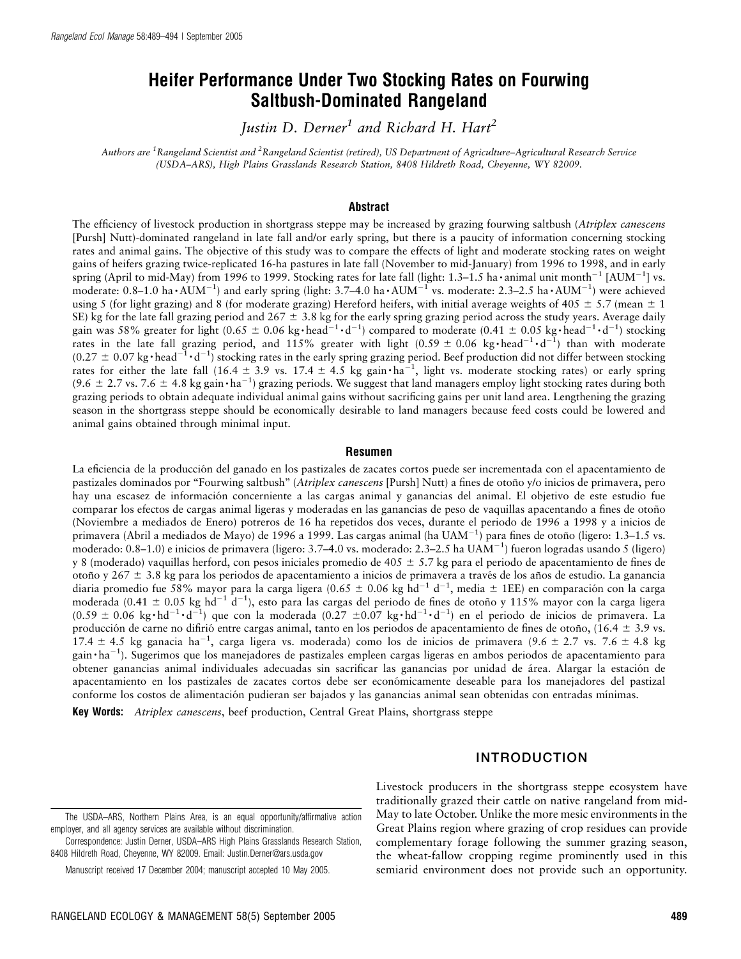# Heifer Performance Under Two Stocking Rates on Fourwing Saltbush-Dominated Rangeland

Justin D. Derner<sup>1</sup> and Richard H. Hart<sup>2</sup>

Authors are <sup>1</sup>Rangeland Scientist and <sup>2</sup>Rangeland Scientist (retired), US Department of Agriculture–Agricultural Research Service (USDA–ARS), High Plains Grasslands Research Station, 8408 Hildreth Road, Cheyenne, WY 82009.

#### Abstract

The efficiency of livestock production in shortgrass steppe may be increased by grazing fourwing saltbush (Atriplex canescens [Pursh] Nutt)-dominated rangeland in late fall and/or early spring, but there is a paucity of information concerning stocking rates and animal gains. The objective of this study was to compare the effects of light and moderate stocking rates on weight gains of heifers grazing twice-replicated 16-ha pastures in late fall (November to mid-January) from 1996 to 1998, and in early spring (April to mid-May) from 1996 to 1999. Stocking rates for late fall (light: 1.3–1.5 ha·animal unit month<sup>-1</sup> [AUM<sup>-1</sup>] vs. moderate: 0.8–1.0 ha  $\cdot$  AUM<sup>-1</sup>) and early spring (light: 3.7–4.0 ha  $\cdot$  AUM<sup>-1</sup> vs. moderate: 2.3–2.5 ha  $\cdot$  AUM<sup>-1</sup>) were achieved using 5 (for light grazing) and 8 (for moderate grazing) Hereford heifers, with initial average weights of 405  $\pm$  5.7 (mean  $\pm$  1 SE) kg for the late fall grazing period and  $267 \pm 3.8$  kg for the early spring grazing period across the study years. Average daily gain was 58% greater for light (0.65  $\pm$  0.06 kg · head<sup>-1</sup> · d<sup>-1</sup>) compared to moderate (0.41  $\pm$  0.05 kg · head<sup>-1</sup> · d<sup>-1</sup>) stocking rates in the late fall grazing period, and 115% greater with light (0.59  $\pm$  0.06 kg head<sup>-1</sup> · d<sup>-1</sup>) than with moderate  $(0.27 \pm 0.07 \text{ kg} \cdot \text{head}^{-1} \cdot \text{d}^{-1})$  stocking rates in the early spring grazing period. Beef production did not differ between stocking rates for either the late fall (16.4  $\pm$  3.9 vs. 17.4  $\pm$  4.5 kg gain  $\cdot$  ha<sup>-1</sup>, light vs. moderate stocking rates) or early spring  $(9.6 \pm 2.7 \text{ vs. } 7.6 \pm 4.8 \text{ kg gain} \cdot \text{ha}^{-1})$  grazing periods. We suggest that land managers employ light stocking rates during both grazing periods to obtain adequate individual animal gains without sacrificing gains per unit land area. Lengthening the grazing season in the shortgrass steppe should be economically desirable to land managers because feed costs could be lowered and animal gains obtained through minimal input.

#### Resumen

La eficiencia de la producción del ganado en los pastizales de zacates cortos puede ser incrementada con el apacentamiento de pastizales dominados por "Fourwing saltbush" (Atriplex canescens [Pursh] Nutt) a fines de otoño y/o inicios de primavera, pero hay una escasez de información concerniente a las cargas animal y ganancias del animal. El objetivo de este estudio fue comparar los efectos de cargas animal ligeras y moderadas en las ganancias de peso de vaquillas apacentando a fines de otoño (Noviembre a mediados de Enero) potreros de 16 ha repetidos dos veces, durante el periodo de 1996 a 1998 y a inicios de primavera (Abril a mediados de Mayo) de 1996 a 1999. Las cargas animal (ha UAM $^{-1}$ ) para fines de otoño (ligero: 1.3–1.5 vs. moderado: 0.8–1.0) e inicios de primavera (ligero: 3.7–4.0 vs. moderado: 2.3–2.5 ha UAM-1 ) fueron logradas usando 5 (ligero) y 8 (moderado) vaquillas herford, con pesos iniciales promedio de 405  $\pm$  5.7 kg para el periodo de apacentamiento de fines de otoño y 267  $\pm$  3.8 kg para los periodos de apacentamiento a inicios de primavera a través de los años de estudio. La ganancia diaria promedio fue 58% mayor para la carga ligera (0.65 ± 0.06 kg hd<sup>-1</sup> d<sup>-1</sup>, media ± 1EE) en comparación con la carga moderada (0.41  $\pm$  0.05 kg hd<sup>-1</sup> d<sup>-1</sup>), esto para las cargas del periodo de fines de otoño y 115% mayor con la carga ligera  $(0.59 \pm 0.06 \text{ kg} \cdot \text{hd}^{-1} \cdot \text{d}^{-1})$  que con la moderada  $(0.27 \pm 0.07 \text{ kg} \cdot \text{hd}^{-1} \cdot \text{d}^{-1})$  en el periodo de inicios de primavera. La producción de carne no difirió entre cargas animal, tanto en los periodos de apacentamiento de fines de otoño, (16.4  $\pm$  3.9 vs. 17.4 ± 4.5 kg ganacia ha<sup>-1</sup>, carga ligera vs. moderada) como los de inicios de primavera (9.6 ± 2.7 vs. 7.6 ± 4.8 kg gain ha-1 ). Sugerimos que los manejadores de pastizales empleen cargas ligeras en ambos periodos de apacentamiento para obtener ganancias animal individuales adecuadas sin sacrificar las ganancias por unidad de área. Alargar la estación de apacentamiento en los pastizales de zacates cortos debe ser económicamente deseable para los manejadores del pastizal conforme los costos de alimentación pudieran ser bajados y las ganancias animal sean obtenidas con entradas mínimas.

Key Words: Atriplex canescens, beef production, Central Great Plains, shortgrass steppe

## INTRODUCTION

Correspondence: Justin Derner, USDA–ARS High Plains Grasslands Research Station, 8408 Hildreth Road, Cheyenne, WY 82009. Email: Justin.Derner@ars.usda.gov

Livestock producers in the shortgrass steppe ecosystem have traditionally grazed their cattle on native rangeland from mid-May to late October. Unlike the more mesic environments in the Great Plains region where grazing of crop residues can provide complementary forage following the summer grazing season, the wheat-fallow cropping regime prominently used in this semiarid environment does not provide such an opportunity.

The USDA–ARS, Northern Plains Area, is an equal opportunity/affirmative action employer, and all agency services are available without discrimination.

Manuscript received 17 December 2004; manuscript accepted 10 May 2005.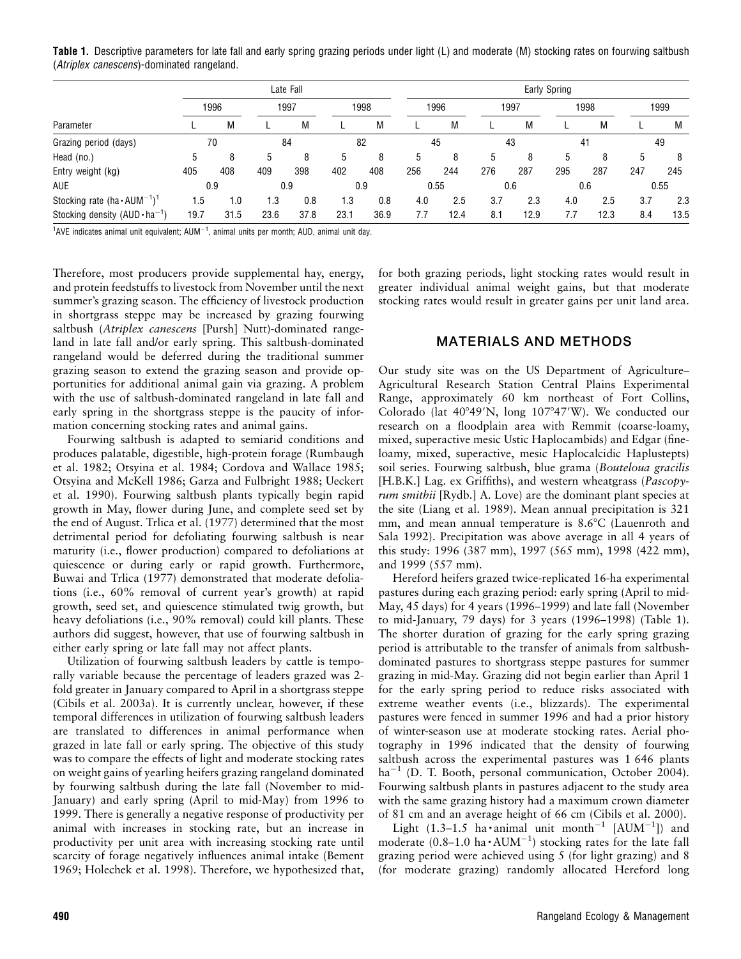Table 1. Descriptive parameters for late fall and early spring grazing periods under light (L) and moderate (M) stocking rates on fourwing saltbush (Atriplex canescens)-dominated rangeland.

| Parameter                                                  | Late Fall |      |                  |      |      |      |      | Early Spring |      |      |      |      |      |      |  |
|------------------------------------------------------------|-----------|------|------------------|------|------|------|------|--------------|------|------|------|------|------|------|--|
|                                                            | 1996      |      | 1997             |      | 1998 |      | 1996 |              | 1997 |      | 1998 |      | 1999 |      |  |
|                                                            |           | M    |                  | M    |      | M    |      | M            |      | М    |      | M    |      | M    |  |
| Grazing period (days)                                      | 70        |      | 84               |      | 82   |      | 45   |              | 43   |      | 41   |      | 49   |      |  |
| Head (no.)                                                 | 5         |      | 5                |      | 5    |      | 5    | 8            | 5    | 8    | 5    | 8    | 5    | 8    |  |
| Entry weight (kg)                                          | 405       | 408  | 409              | 398  | 402  | 408  | 256  | 244          | 276  | 287  | 295  | 287  | 247  | 245  |  |
| <b>AUE</b>                                                 | 0.9       |      | 0.9              |      | 0.9  |      | 0.55 |              | 0.6  |      | 0.6  |      | 0.55 |      |  |
| Stocking rate (ha $\cdot$ AUM <sup>-1</sup> ) <sup>1</sup> | ۱.5       | 1.0  | $\overline{1.3}$ | 0.8  | 1.3  | 0.8  | 4.0  | 2.5          | 3.7  | 2.3  | 4.0  | 2.5  | 3.7  | 2.3  |  |
| Stocking density $(AUD \cdot ha^{-1})$                     | 19.7      | 31.5 | 23.6             | 37.8 | 23.1 | 36.9 | 7.7  | 12.4         | 8.1  | 12.9 | 7.7  | 12.3 | 8.4  | 13.5 |  |

 $1$ AVE indicates animal unit equivalent; AUM $^{-1}$ , animal units per month; AUD, animal unit day.

Therefore, most producers provide supplemental hay, energy, and protein feedstuffs to livestock from November until the next summer's grazing season. The efficiency of livestock production in shortgrass steppe may be increased by grazing fourwing saltbush (Atriplex canescens [Pursh] Nutt)-dominated rangeland in late fall and/or early spring. This saltbush-dominated rangeland would be deferred during the traditional summer grazing season to extend the grazing season and provide opportunities for additional animal gain via grazing. A problem with the use of saltbush-dominated rangeland in late fall and early spring in the shortgrass steppe is the paucity of information concerning stocking rates and animal gains.

Fourwing saltbush is adapted to semiarid conditions and produces palatable, digestible, high-protein forage (Rumbaugh et al. 1982; Otsyina et al. 1984; Cordova and Wallace 1985; Otsyina and McKell 1986; Garza and Fulbright 1988; Ueckert et al. 1990). Fourwing saltbush plants typically begin rapid growth in May, flower during June, and complete seed set by the end of August. Trlica et al. (1977) determined that the most detrimental period for defoliating fourwing saltbush is near maturity (i.e., flower production) compared to defoliations at quiescence or during early or rapid growth. Furthermore, Buwai and Trlica (1977) demonstrated that moderate defoliations (i.e., 60% removal of current year's growth) at rapid growth, seed set, and quiescence stimulated twig growth, but heavy defoliations (i.e., 90% removal) could kill plants. These authors did suggest, however, that use of fourwing saltbush in either early spring or late fall may not affect plants.

Utilization of fourwing saltbush leaders by cattle is temporally variable because the percentage of leaders grazed was 2 fold greater in January compared to April in a shortgrass steppe (Cibils et al. 2003a). It is currently unclear, however, if these temporal differences in utilization of fourwing saltbush leaders are translated to differences in animal performance when grazed in late fall or early spring. The objective of this study was to compare the effects of light and moderate stocking rates on weight gains of yearling heifers grazing rangeland dominated by fourwing saltbush during the late fall (November to mid-January) and early spring (April to mid-May) from 1996 to 1999. There is generally a negative response of productivity per animal with increases in stocking rate, but an increase in productivity per unit area with increasing stocking rate until scarcity of forage negatively influences animal intake (Bement 1969; Holechek et al. 1998). Therefore, we hypothesized that,

for both grazing periods, light stocking rates would result in greater individual animal weight gains, but that moderate stocking rates would result in greater gains per unit land area.

### MATERIALS AND METHODS

Our study site was on the US Department of Agriculture– Agricultural Research Station Central Plains Experimental Range, approximately 60 km northeast of Fort Collins, Colorado (lat  $40^{\circ}49'N$ , long  $107^{\circ}47'W$ ). We conducted our research on a floodplain area with Remmit (coarse-loamy, mixed, superactive mesic Ustic Haplocambids) and Edgar (fineloamy, mixed, superactive, mesic Haplocalcidic Haplustepts) soil series. Fourwing saltbush, blue grama (Bouteloua gracilis [H.B.K.] Lag. ex Griffiths), and western wheatgrass (*Pascopy*rum smithii [Rydb.] A. Love) are the dominant plant species at the site (Liang et al. 1989). Mean annual precipitation is 321 mm, and mean annual temperature is  $8.6^{\circ}$ C (Lauenroth and Sala 1992). Precipitation was above average in all 4 years of this study: 1996 (387 mm), 1997 (565 mm), 1998 (422 mm), and 1999 (557 mm).

Hereford heifers grazed twice-replicated 16-ha experimental pastures during each grazing period: early spring (April to mid-May, 45 days) for 4 years (1996–1999) and late fall (November to mid-January, 79 days) for 3 years (1996–1998) (Table 1). The shorter duration of grazing for the early spring grazing period is attributable to the transfer of animals from saltbushdominated pastures to shortgrass steppe pastures for summer grazing in mid-May. Grazing did not begin earlier than April 1 for the early spring period to reduce risks associated with extreme weather events (i.e., blizzards). The experimental pastures were fenced in summer 1996 and had a prior history of winter-season use at moderate stocking rates. Aerial photography in 1996 indicated that the density of fourwing saltbush across the experimental pastures was 1 646 plants ha<sup>-1</sup> (D. T. Booth, personal communication, October 2004). Fourwing saltbush plants in pastures adjacent to the study area with the same grazing history had a maximum crown diameter of 81 cm and an average height of 66 cm (Cibils et al. 2000).

Light (1.3-1.5 ha animal unit month<sup>-1</sup> [AUM<sup>-1</sup>]) and moderate (0.8–1.0 ha $\cdot$  AUM<sup>-1</sup>) stocking rates for the late fall grazing period were achieved using 5 (for light grazing) and 8 (for moderate grazing) randomly allocated Hereford long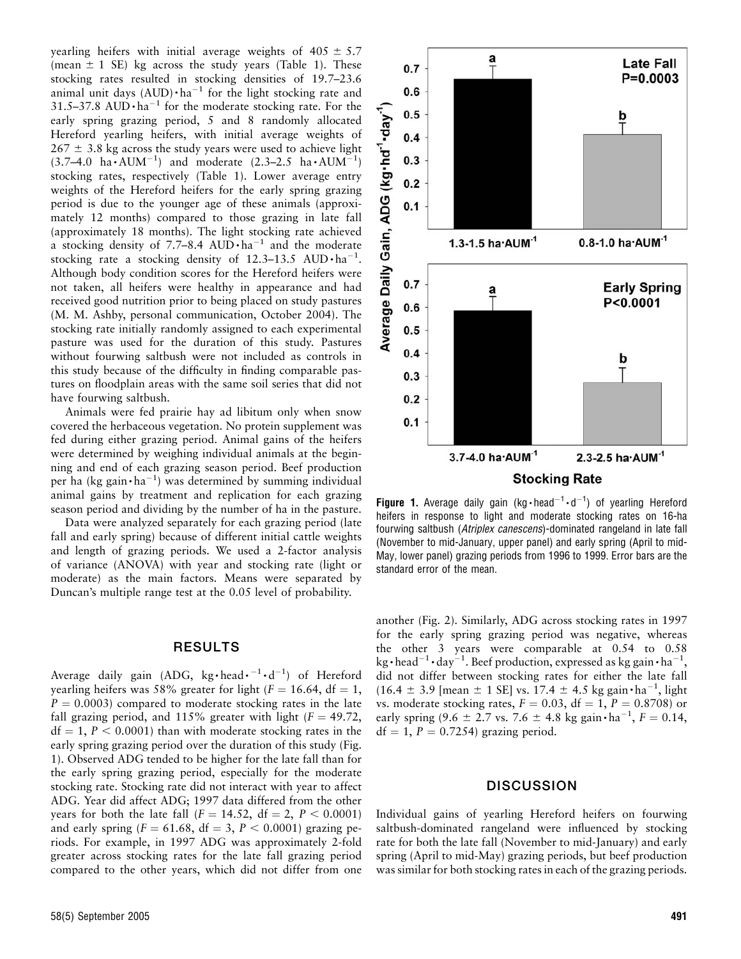yearling heifers with initial average weights of  $405 \pm 5.7$ (mean  $\pm$  1 SE) kg across the study years (Table 1). These stocking rates resulted in stocking densities of 19.7–23.6 animal unit days  $(AUD) \cdot ha^{-1}$  for the light stocking rate and 31.5–37.8 AUD $\cdot$ ha<sup>-1</sup> for the moderate stocking rate. For the early spring grazing period, 5 and 8 randomly allocated Hereford yearling heifers, with initial average weights of  $267 \pm 3.8$  kg across the study years were used to achieve light  $(3.7-4.0 \text{ ha} \cdot \text{AUM}^{-1})$  and moderate  $(2.3-2.5 \text{ ha} \cdot \text{AUM}^{-1})$ stocking rates, respectively (Table 1). Lower average entry weights of the Hereford heifers for the early spring grazing period is due to the younger age of these animals (approximately 12 months) compared to those grazing in late fall (approximately 18 months). The light stocking rate achieved a stocking density of 7.7-8.4 AUD $\cdot$ ha<sup>-1</sup> and the moderate stocking rate a stocking density of 12.3-13.5 AUD $\cdot$ ha<sup>-1</sup>. Although body condition scores for the Hereford heifers were not taken, all heifers were healthy in appearance and had received good nutrition prior to being placed on study pastures (M. M. Ashby, personal communication, October 2004). The stocking rate initially randomly assigned to each experimental pasture was used for the duration of this study. Pastures without fourwing saltbush were not included as controls in this study because of the difficulty in finding comparable pastures on floodplain areas with the same soil series that did not have fourwing saltbush.

Animals were fed prairie hay ad libitum only when snow covered the herbaceous vegetation. No protein supplement was fed during either grazing period. Animal gains of the heifers were determined by weighing individual animals at the beginning and end of each grazing season period. Beef production per ha (kg gain·ha<sup>-1</sup>) was determined by summing individual animal gains by treatment and replication for each grazing season period and dividing by the number of ha in the pasture.

Data were analyzed separately for each grazing period (late fall and early spring) because of different initial cattle weights and length of grazing periods. We used a 2-factor analysis of variance (ANOVA) with year and stocking rate (light or moderate) as the main factors. Means were separated by Duncan's multiple range test at the 0.05 level of probability.

#### RESULTS

Average daily gain (ADG, kg·head· $^{-1}$ ·d<sup>-1</sup>) of Hereford yearling heifers was 58% greater for light ( $F = 16.64$ , df = 1,  $P = 0.0003$  compared to moderate stocking rates in the late fall grazing period, and 115% greater with light  $(F = 49.72,$  $df = 1, P < 0.0001$  than with moderate stocking rates in the early spring grazing period over the duration of this study (Fig. 1). Observed ADG tended to be higher for the late fall than for the early spring grazing period, especially for the moderate stocking rate. Stocking rate did not interact with year to affect ADG. Year did affect ADG; 1997 data differed from the other years for both the late fall  $(F = 14.52, df = 2, P < 0.0001)$ and early spring ( $F = 61.68$ , df = 3,  $P < 0.0001$ ) grazing periods. For example, in 1997 ADG was approximately 2-fold greater across stocking rates for the late fall grazing period compared to the other years, which did not differ from one



**Figure 1.** Average daily gain (kg · head $^{-1} \cdot d^{-1}$ ) of yearling Hereford heifers in response to light and moderate stocking rates on 16-ha fourwing saltbush (Atriplex canescens)-dominated rangeland in late fall (November to mid-January, upper panel) and early spring (April to mid-May, lower panel) grazing periods from 1996 to 1999. Error bars are the standard error of the mean.

another (Fig. 2). Similarly, ADG across stocking rates in 1997 for the early spring grazing period was negative, whereas the other 3 years were comparable at 0.54 to 0.58 kg · head<sup>-1</sup> · day<sup>-1</sup>. Beef production, expressed as kg gain · ha<sup>-1</sup>, did not differ between stocking rates for either the late fall  $(16.4 \pm 3.9 \; [\text{mean} \pm 1 \; \text{SE}] \text{ vs. } 17.4 \pm 4.5 \text{ kg gain} \cdot \text{ha}^{-1}, \text{light}$ vs. moderate stocking rates,  $F = 0.03$ ,  $df = 1$ ,  $P = 0.8708$ ) or early spring (9.6  $\pm$  2.7 vs. 7.6  $\pm$  4.8 kg gain  $\cdot$  ha<sup>-1</sup>,  $F = 0.14$ ,  $df = 1$ ,  $P = 0.7254$ ) grazing period.

#### **DISCUSSION**

Individual gains of yearling Hereford heifers on fourwing saltbush-dominated rangeland were influenced by stocking rate for both the late fall (November to mid-January) and early spring (April to mid-May) grazing periods, but beef production was similar for both stocking rates in each of the grazing periods.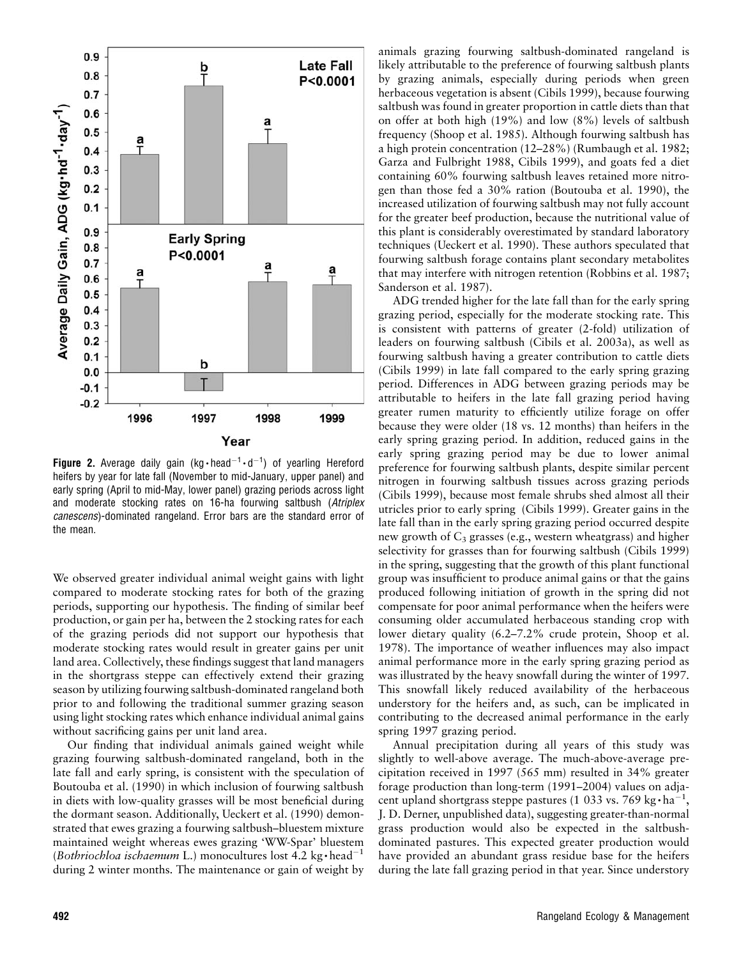

**Figure 2.** Average daily gain (kg · head<sup>-1</sup> · d<sup>-1</sup>) of yearling Hereford heifers by year for late fall (November to mid-January, upper panel) and early spring (April to mid-May, lower panel) grazing periods across light and moderate stocking rates on 16-ha fourwing saltbush (Atriplex canescens)-dominated rangeland. Error bars are the standard error of the mean.

We observed greater individual animal weight gains with light compared to moderate stocking rates for both of the grazing periods, supporting our hypothesis. The finding of similar beef production, or gain per ha, between the 2 stocking rates for each of the grazing periods did not support our hypothesis that moderate stocking rates would result in greater gains per unit land area. Collectively, these findings suggest that land managers in the shortgrass steppe can effectively extend their grazing season by utilizing fourwing saltbush-dominated rangeland both prior to and following the traditional summer grazing season using light stocking rates which enhance individual animal gains without sacrificing gains per unit land area.

Our finding that individual animals gained weight while grazing fourwing saltbush-dominated rangeland, both in the late fall and early spring, is consistent with the speculation of Boutouba et al. (1990) in which inclusion of fourwing saltbush in diets with low-quality grasses will be most beneficial during the dormant season. Additionally, Ueckert et al. (1990) demonstrated that ewes grazing a fourwing saltbush–bluestem mixture maintained weight whereas ewes grazing 'WW-Spar' bluestem (Bothriochloa ischaemum L.) monocultures lost 4.2 kg $\cdot$ head<sup>-1</sup> during 2 winter months. The maintenance or gain of weight by

animals grazing fourwing saltbush-dominated rangeland is likely attributable to the preference of fourwing saltbush plants by grazing animals, especially during periods when green herbaceous vegetation is absent (Cibils 1999), because fourwing saltbush was found in greater proportion in cattle diets than that on offer at both high (19%) and low (8%) levels of saltbush frequency (Shoop et al. 1985). Although fourwing saltbush has a high protein concentration (12–28%) (Rumbaugh et al. 1982; Garza and Fulbright 1988, Cibils 1999), and goats fed a diet containing 60% fourwing saltbush leaves retained more nitrogen than those fed a 30% ration (Boutouba et al. 1990), the increased utilization of fourwing saltbush may not fully account for the greater beef production, because the nutritional value of this plant is considerably overestimated by standard laboratory techniques (Ueckert et al. 1990). These authors speculated that fourwing saltbush forage contains plant secondary metabolites that may interfere with nitrogen retention (Robbins et al. 1987; Sanderson et al. 1987).

ADG trended higher for the late fall than for the early spring grazing period, especially for the moderate stocking rate. This is consistent with patterns of greater (2-fold) utilization of leaders on fourwing saltbush (Cibils et al. 2003a), as well as fourwing saltbush having a greater contribution to cattle diets (Cibils 1999) in late fall compared to the early spring grazing period. Differences in ADG between grazing periods may be attributable to heifers in the late fall grazing period having greater rumen maturity to efficiently utilize forage on offer because they were older (18 vs. 12 months) than heifers in the early spring grazing period. In addition, reduced gains in the early spring grazing period may be due to lower animal preference for fourwing saltbush plants, despite similar percent nitrogen in fourwing saltbush tissues across grazing periods (Cibils 1999), because most female shrubs shed almost all their utricles prior to early spring (Cibils 1999). Greater gains in the late fall than in the early spring grazing period occurred despite new growth of  $C_3$  grasses (e.g., western wheatgrass) and higher selectivity for grasses than for fourwing saltbush (Cibils 1999) in the spring, suggesting that the growth of this plant functional group was insufficient to produce animal gains or that the gains produced following initiation of growth in the spring did not compensate for poor animal performance when the heifers were consuming older accumulated herbaceous standing crop with lower dietary quality (6.2–7.2% crude protein, Shoop et al. 1978). The importance of weather influences may also impact animal performance more in the early spring grazing period as was illustrated by the heavy snowfall during the winter of 1997. This snowfall likely reduced availability of the herbaceous understory for the heifers and, as such, can be implicated in contributing to the decreased animal performance in the early spring 1997 grazing period.

Annual precipitation during all years of this study was slightly to well-above average. The much-above-average precipitation received in 1997 (565 mm) resulted in 34% greater forage production than long-term (1991–2004) values on adjacent upland shortgrass steppe pastures (1 033 vs. 769 kg $\cdot$ ha $^{-1}$ , J. D. Derner, unpublished data), suggesting greater-than-normal grass production would also be expected in the saltbushdominated pastures. This expected greater production would have provided an abundant grass residue base for the heifers during the late fall grazing period in that year. Since understory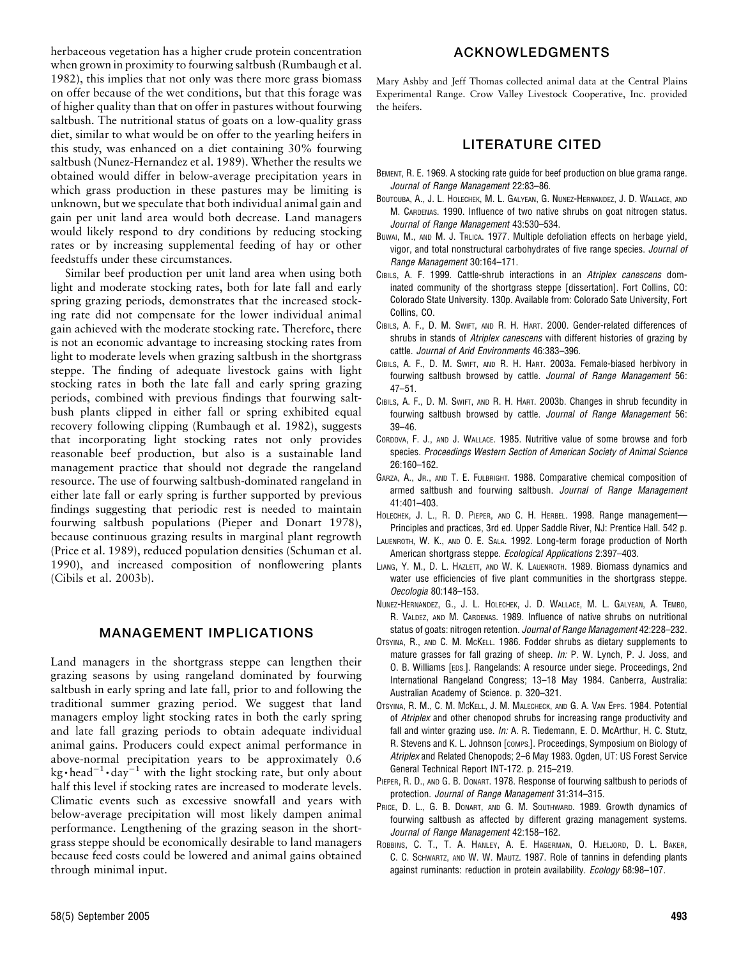herbaceous vegetation has a higher crude protein concentration when grown in proximity to fourwing saltbush (Rumbaugh et al. 1982), this implies that not only was there more grass biomass on offer because of the wet conditions, but that this forage was of higher quality than that on offer in pastures without fourwing saltbush. The nutritional status of goats on a low-quality grass diet, similar to what would be on offer to the yearling heifers in this study, was enhanced on a diet containing 30% fourwing saltbush (Nunez-Hernandez et al. 1989). Whether the results we obtained would differ in below-average precipitation years in which grass production in these pastures may be limiting is unknown, but we speculate that both individual animal gain and gain per unit land area would both decrease. Land managers would likely respond to dry conditions by reducing stocking rates or by increasing supplemental feeding of hay or other feedstuffs under these circumstances.

Similar beef production per unit land area when using both light and moderate stocking rates, both for late fall and early spring grazing periods, demonstrates that the increased stocking rate did not compensate for the lower individual animal gain achieved with the moderate stocking rate. Therefore, there is not an economic advantage to increasing stocking rates from light to moderate levels when grazing saltbush in the shortgrass steppe. The finding of adequate livestock gains with light stocking rates in both the late fall and early spring grazing periods, combined with previous findings that fourwing saltbush plants clipped in either fall or spring exhibited equal recovery following clipping (Rumbaugh et al. 1982), suggests that incorporating light stocking rates not only provides reasonable beef production, but also is a sustainable land management practice that should not degrade the rangeland resource. The use of fourwing saltbush-dominated rangeland in either late fall or early spring is further supported by previous findings suggesting that periodic rest is needed to maintain fourwing saltbush populations (Pieper and Donart 1978), because continuous grazing results in marginal plant regrowth (Price et al. 1989), reduced population densities (Schuman et al. 1990), and increased composition of nonflowering plants (Cibils et al. 2003b).

## MANAGEMENT IMPLICATIONS

Land managers in the shortgrass steppe can lengthen their grazing seasons by using rangeland dominated by fourwing saltbush in early spring and late fall, prior to and following the traditional summer grazing period. We suggest that land managers employ light stocking rates in both the early spring and late fall grazing periods to obtain adequate individual animal gains. Producers could expect animal performance in above-normal precipitation years to be approximately 0.6 kg•head<sup>-1</sup>•day<sup>-1</sup> with the light stocking rate, but only about half this level if stocking rates are increased to moderate levels. Climatic events such as excessive snowfall and years with below-average precipitation will most likely dampen animal performance. Lengthening of the grazing season in the shortgrass steppe should be economically desirable to land managers because feed costs could be lowered and animal gains obtained through minimal input.

# ACKNOWLEDGMENTS

Mary Ashby and Jeff Thomas collected animal data at the Central Plains Experimental Range. Crow Valley Livestock Cooperative, Inc. provided the heifers.

# LITERATURE CITED

- BEMENT, R. E. 1969. A stocking rate guide for beef production on blue grama range. Journal of Range Management 22:83–86.
- BOUTOUBA, A., J. L. HOLECHEK, M. L. GALYEAN, G. NUNEZ-HERNANDEZ, J. D. WALLACE, AND M. CARDENAS. 1990. Influence of two native shrubs on goat nitrogen status. Journal of Range Management 43:530–534.
- BUWAI, M., AND M. J. TRLICA. 1977. Multiple defoliation effects on herbage yield, vigor, and total nonstructural carbohydrates of five range species. Journal of Range Management 30:164–171.
- CIBILS, A. F. 1999. Cattle-shrub interactions in an Atriplex canescens dominated community of the shortgrass steppe [dissertation]. Fort Collins, CO: Colorado State University. 130p. Available from: Colorado Sate University, Fort Collins, CO.
- CIBILS, A. F., D. M. SWIFT, AND R. H. HART. 2000. Gender-related differences of shrubs in stands of Atriplex canescens with different histories of grazing by cattle. Journal of Arid Environments 46:383–396.
- CIBILS, A. F., D. M. SWIFT, AND R. H. HART. 2003a. Female-biased herbivory in fourwing saltbush browsed by cattle. Journal of Range Management 56: 47–51.
- CIBILS, A. F., D. M. SWIFT, AND R. H. HART. 2003b. Changes in shrub fecundity in fourwing saltbush browsed by cattle. Journal of Range Management 56: 39–46.
- CORDOVA, F. J., AND J. WALLACE. 1985. Nutritive value of some browse and forb species. Proceedings Western Section of American Society of Animal Science 26:160–162.
- GARZA, A., JR., AND T. E. FULBRIGHT. 1988. Comparative chemical composition of armed saltbush and fourwing saltbush. Journal of Range Management 41:401–403.
- HOLECHEK, J. L., R. D. PIEPER, AND C. H. HERBEL. 1998. Range management— Principles and practices, 3rd ed. Upper Saddle River, NJ: Prentice Hall. 542 p.
- LAUENROTH, W. K., AND O. E. SALA. 1992. Long-term forage production of North American shortgrass steppe. Ecological Applications 2:397–403.
- LIANG, Y. M., D. L. HAZLETT, AND W. K. LAUENROTH. 1989. Biomass dynamics and water use efficiencies of five plant communities in the shortgrass steppe. Oecologia 80:148–153.
- NUNEZ-HERNANDEZ, G., J. L. HOLECHEK, J. D. WALLACE, M. L. GALYEAN, A. TEMBO, R. VALDEZ, AND M. CARDENAS. 1989. Influence of native shrubs on nutritional status of goats: nitrogen retention. Journal of Range Management 42:228–232.
- OTSYINA, R., AND C. M. MCKELL. 1986. Fodder shrubs as dietary supplements to mature grasses for fall grazing of sheep. In: P. W. Lynch, P. J. Joss, and O. B. Williams [EDS.]. Rangelands: A resource under siege. Proceedings, 2nd International Rangeland Congress; 13–18 May 1984. Canberra, Australia: Australian Academy of Science. p. 320–321.
- OTSYINA, R. M., C. M. MCKELL, J. M. MALECHECK, AND G. A. VAN EPPS. 1984. Potential of Atriplex and other chenopod shrubs for increasing range productivity and fall and winter grazing use. In: A. R. Tiedemann, E. D. McArthur, H. C. Stutz, R. Stevens and K. L. Johnson [comps.]. Proceedings, Symposium on Biology of Atriplex and Related Chenopods; 2–6 May 1983. Ogden, UT: US Forest Service General Technical Report INT-172. p. 215–219.
- PIEPER, R. D., AND G. B. DONART. 1978. Response of fourwing saltbush to periods of protection. Journal of Range Management 31:314–315.
- PRICE, D. L., G. B. DONART, AND G. M. SOUTHWARD. 1989. Growth dynamics of fourwing saltbush as affected by different grazing management systems. Journal of Range Management 42:158–162.
- ROBBINS, C. T., T. A. HANLEY, A. E. HAGERMAN, O. HJELJORD, D. L. BAKER, C. C. SCHWARTZ, AND W. W. MAUTZ. 1987. Role of tannins in defending plants against ruminants: reduction in protein availability. Ecology 68:98-107.